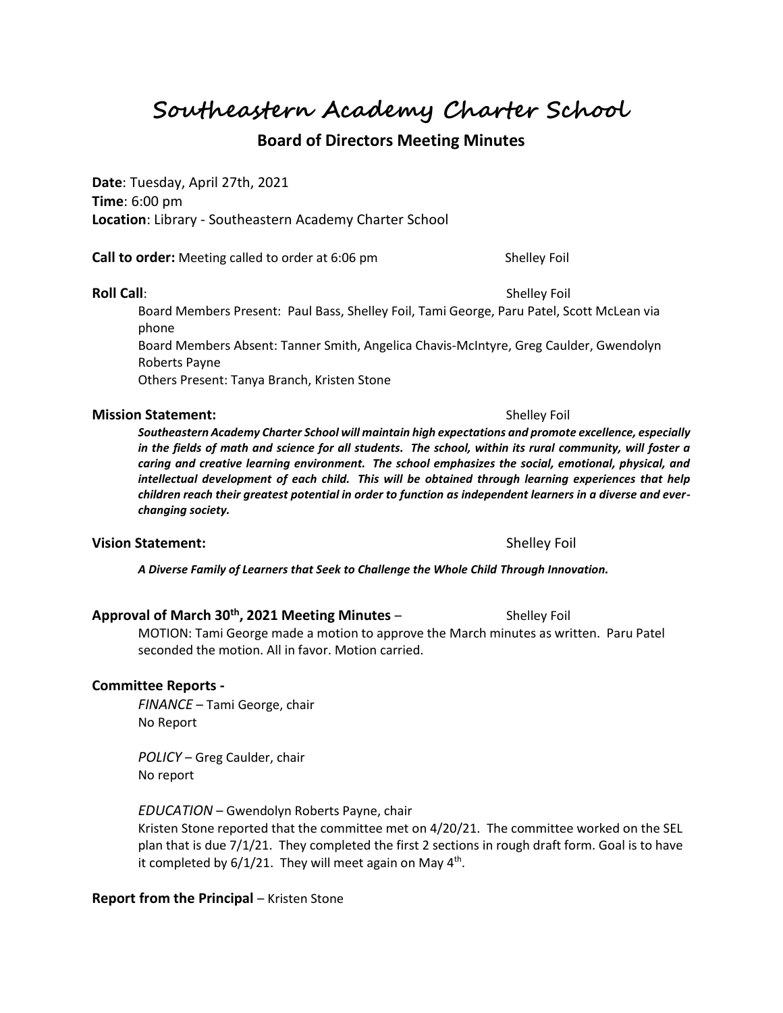**Southeastern Academy Charter School**

# **Board of Directors Meeting Minutes**

**Date**: Tuesday, April 27th, 2021 **Time**: 6:00 pm **Location**: Library - Southeastern Academy Charter School

**Call to order:** Meeting called to order at 6:06 pm Shelley Foil

#### **Roll Call**: Shelley Foil **Roll Call**: Shelley Foil **Shelley Foil**

Board Members Present: Paul Bass, Shelley Foil, Tami George, Paru Patel, Scott McLean via phone

Board Members Absent: Tanner Smith, Angelica Chavis-McIntyre, Greg Caulder, Gwendolyn Roberts Payne

Others Present: Tanya Branch, Kristen Stone

### **Mission Statement:**  $\qquad \qquad$  Shelley Foil

*Southeastern Academy Charter School will maintain high expectations and promote excellence, especially in the fields of math and science for all students. The school, within its rural community, will foster a caring and creative learning environment. The school emphasizes the social, emotional, physical, and intellectual development of each child. This will be obtained through learning experiences that help children reach their greatest potential in order to function as independent learners in a diverse and everchanging society.*

### **Vision Statement:**  $\qquad \qquad$ Shelley Foil

*A Diverse Family of Learners that Seek to Challenge the Whole Child Through Innovation.*

# **Approval of March 30th, 2021 Meeting Minutes** – Shelley Foil

MOTION: Tami George made a motion to approve the March minutes as written. Paru Patel seconded the motion. All in favor. Motion carried.

## **Committee Reports -**

*FINANCE* – Tami George, chair No Report

*POLICY* – Greg Caulder, chair No report

*EDUCATION* – Gwendolyn Roberts Payne, chair Kristen Stone reported that the committee met on 4/20/21. The committee worked on the SEL plan that is due 7/1/21. They completed the first 2 sections in rough draft form. Goal is to have it completed by  $6/1/21$ . They will meet again on May 4<sup>th</sup>.

# **Report from the Principal - Kristen Stone**